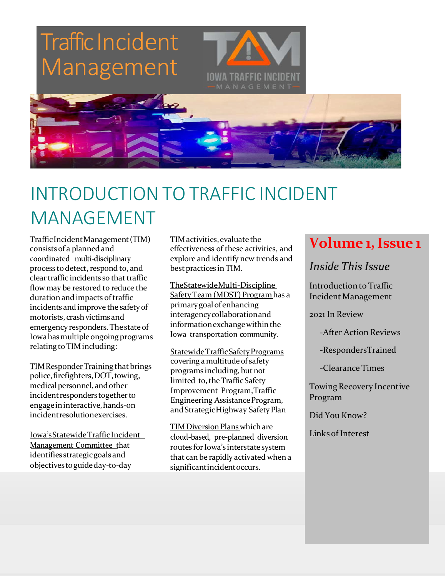

## INTRODUCTION TO TRAFFIC INCIDENT MANAGEMENT

TrafficIncidentManagement(TIM) consists of a planned and coordinated multi-disciplinary process to detect, respond to, and clear traffic incidents so that traffic flow may be restored to reduce the duration and impacts of traffic incidents and improve the safetyof motorists, crashvictimsand emergency responders.Thestateof Iowahas multiple ongoing programs relating to TIM including:

TIM Responder Training that brings police, firefighters, DOT, towing, medical personnel, and other incident responders together to engageininteractive,hands‐on incidentresolutionexercises.

Iowa's Statewide Traffic Incident objectives to guide day-to-day significant incident occurs.

TIMactivities,evaluate the effectiveness of these activities, and explore and identify new trends and bestpractices in TIM.

TheStatewideMulti‐Discipline SafetyTeam (MDST) Programhas a primarygoal of enhancing interagencycollaborationand information exchange within the Iowa transportation community.

StatewideTrafficSafetyPrograms covering a multitude of safety programs including, but not limited to, the Traffic Safety Improvement Program,Traffic Engineering AssistanceProgram, and Strategic Highway Safety Plan

TIM Diversion Plans which are cloud-based, pre-planned diversion Management Committee that routes for Iowa's interstate system<br>
identifies strategic goals and that can be rapidly activated when a

### **Volume 1,Issue 1**

*Inside This Issue*

Introductionto Traffic Incident Management

2021 In Review

‐After Action Reviews

‐RespondersTrained

‐Clearance Times

Towing Recovery Incentive Program

Did You Know?

Links of Interest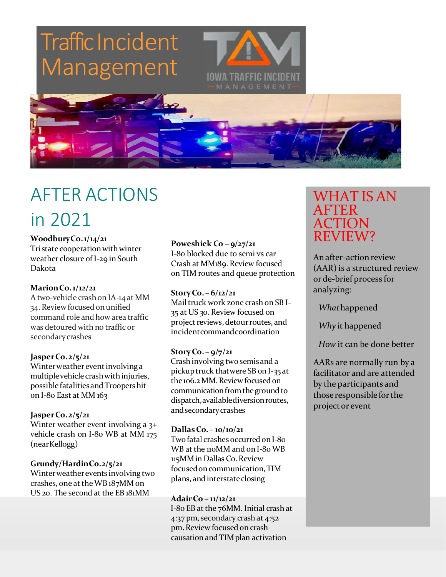



## AFTER ACTIONS in 2021

### **WoodburyCo.1/14/21**

Tri state cooperation with winter weather closure of I‐29 in South Dakota

#### **MarionCo.1/12/21**

Atwo‐vehicle crashon IA‐14 at MM 34. Reviewfocused onunified command role and how area traffic was detoured with no traffic or secondarycrashes

### **JasperCo.2/5/21**

Winter weather event involving a multiple vehicle crash with injuries, possible fatalities and Troopers hit on I‐80 East at MM 163

### **JasperCo.2/5/21**

Winter weather event involving a 3+ vehicle crash on I-80 WB at MM 175 (nearKellogg)

### **Grundy/HardinCo.2/5/21**

Winterweatherevents involving two crashes, one at the WB187MM on US 20. The second at the EB 181MM

**Poweshiek Co – 9/27/21** I‐80 blocked due to semi vs car Crash at MM189. Review focused on TIM routes and queue protection

**StoryCo. – 6/12/21** Mailtruck work zone crash on SB I‐ 35 at US 30. Review focused on project reviews, detour routes, and incidentcommandcoordination

### **StoryCo. – 9/7/21**

Crashinvolving two semisand a pickuptruck thatwere SB on I‐35 at the 106.2 MM. Review focused on communication from the ground to dispatch,availablediversionroutes, andsecondarycrashes

### **DallasCo. – 10/10/21**

Two fatal crashes occurred on I-80 WB at the 110MM and on I-80 WB 115MMin Dallas Co.Review focusedoncommunication,TIM plans, and interstateclosing

### **AdairCo – 11/12/21**

I-80 EB at the 76MM. Initial crash at 4:37 pm, secondary crash at 4:52 pm.Review focused on crash causation and TIM plan activation

### WHAT IS AN AFTER ACTION REVIEW?

An after-action review (AAR) is a structured review or de‐brief process for analyzing:

*What*happened

*Why* it happened

*How* it can be done better

AARs are normally run by a facilitator and are attended by the participants and those responsible for the projector event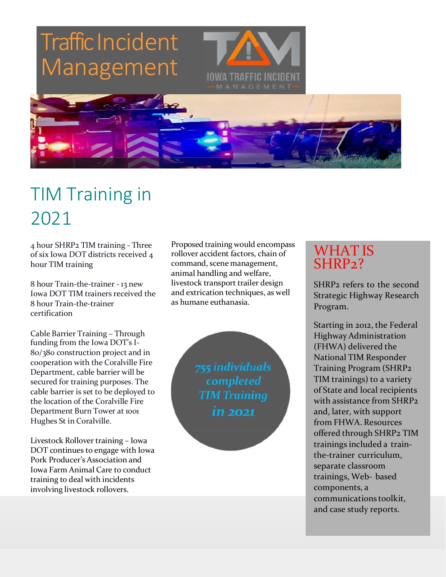## **Traffic Incident** Management IOWA TRAFFIC INCIDENT



## TIM Training in 2021

4 hour SHRP2 TIM training ‐ Three of six Iowa DOT districts received 4 hour TIM training

8 hour Train‐the‐trainer ‐ 13 new Iowa DOT TIM trainers received the 8 hour Train‐the‐trainer certification

Cable Barrier Training – Through funding from the Iowa DOT's I‐ 80/380 construction project and in cooperation with the Coralville Fire Department, cable barrier will be secured for training purposes. The cable barrier is set to be deployed to the location of the Coralville Fire Department Burn Tower at 1001 Hughes St in Coralville.

Livestock Rollover training – Iowa DOT continues to engage with Iowa Pork Producer's Association and Iowa Farm Animal Care to conduct training to deal with incidents involving livestock rollovers.

Proposed training would encompass rollover accident factors, chain of command, scene management, animal handling and welfare, livestock transport trailer design and extrication techniques, as well as humane euthanasia.

> 755 individuals completed **TIM Training** in 2021

### WHAT IS SHRP<sub>2</sub>?

SHRP2 refers to the second Strategic Highway Research Program.

Starting in 2012, the Federal HighwayAdministration (FHWA) delivered the National TIM Responder Training Program (SHRP2 TIM trainings) to a variety of State and local recipients with assistance from SHRP2 and, later, with support from FHWA. Resources offered through SHRP2 TIM trainings included a train‐ the‐trainer curriculum, separate classroom trainings, Web‐ based components, a communications toolkit, and case study reports.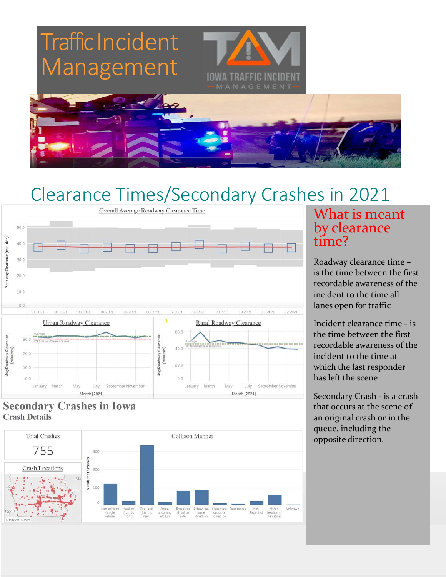



## Clearance Times/Secondary Crashes in 2021



### **Secondary Crashes in Iowa Crash Details**



### What is meant by clearance time?

Roadway clearance time – is the time between the first recordable awareness of the incident to the time all lanes open for traffic

Incident clearance time ‐ is the time between the first recordable awareness of the incident to the time at which the last responder has left the scene

Secondary Crash ‐ is a crash that occurs at the scene of an original crash or in the queue, including the opposite direction.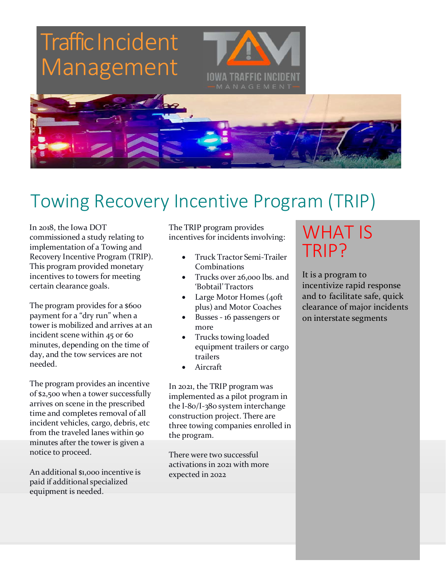



## Towing Recovery Incentive Program (TRIP)

In 2018, the Iowa DOT commissioned a study relating to implementation of a Towing and Recovery Incentive Program (TRIP). This program provided monetary incentives to towers for meeting certain clearance goals.

The program provides for a \$600 payment for a "dry run" when a tower is mobilized and arrives at an incident scene within 45 or 60 minutes, depending on the time of day, and the tow services are not needed.

The program provides an incentive of \$2,500 when a tower successfully arrives on scene in the prescribed time and completes removal of all incident vehicles, cargo, debris, etc from the traveled lanes within 90 minutes after the tower is given a notice to proceed.

An additional \$1,000 incentive is paid if additional specialized equipment is needed.

The TRIP program provides incentives for incidents involving:

- Truck Tractor Semi‐Trailer Combinations
- Trucks over 26,000 lbs. and 'Bobtail'Tractors
- Large Motor Homes (40ft plus) and Motor Coaches
- Busses ‐ 16 passengers or more
- Trucks towing loaded equipment trailers or cargo trailers
- Aircraft

In 2021, the TRIP program was implemented as a pilot program in the I‐80/I‐380 system interchange construction project. There are three towing companies enrolled in the program.

There were two successful activations in 2021 with more expected in 2022

## WHAT IS TRIP?

It is a program to incentivize rapid response and to facilitate safe, quick clearance of major incidents on interstate segments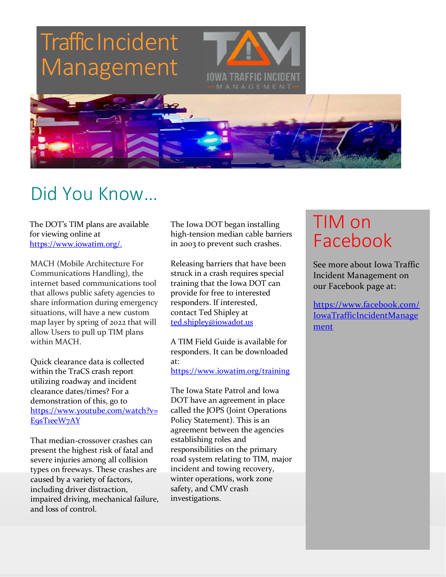# **Traffic Incident** Management IOWA TRAFFIC INCIDENT



The DOT's TIM plans are available for viewing online at [https://www.iowatim.org/.](https://www.iowatim.org/)

MACH (Mobile Architecture For Communications Handling), the internet based communications tool that allows public safety agencies to share information during emergency situations, will have a new custom map layer by spring of 2022 that will allow Users to pull up TIM plans within MACH.

Quick clearance data is collected within the TraCS crash report utilizing roadway and incident clearance dates/times? For a demonstration of this, go to [https://www.youtube.com/watch?v=](https://www.youtube.com/watch?v=E9sT1eeW7AY) E9sTieeW7AY

That median-crossover crashes can present the highest risk of fatal and severe injuries among all collision types on freeways. These crashes are caused by a variety of factors, including driver distraction, impaired driving, mechanical failure, and loss of control.

The Iowa DOT began installing high-tension median cable barriers in 2003 to prevent such crashes.

Releasing barriers that have been struck in a crash requires special training that the Iowa DOT can provide for free to interested responders. If interested, contact Ted Shipley at [ted.shipley@iowadot.us](mailto:ted.shipley@iowadot.us)

A TIM Field Guide is available for responders. It can be downloaded at: <https://www.iowatim.org/training>

The Iowa State Patrol and Iowa DOT have an agreement in place called the JOPS (Joint Operations Policy Statement). This is an agreement between the agencies establishing roles and responsibilities on the primary road system relating to TIM, major incident and towing recovery, winter operations, work zone safety, and CMV crash investigations.

## TIM on Facebook

See more about Iowa Traffic Incident Management on our Facebook page at:

[https://www.facebook.com/](https://www.facebook.com/IowaTrafficIncidentManagement) [IowaTrafficIncidentManage](https://www.facebook.com/IowaTrafficIncidentManagement) [ment](https://www.facebook.com/IowaTrafficIncidentManagement)